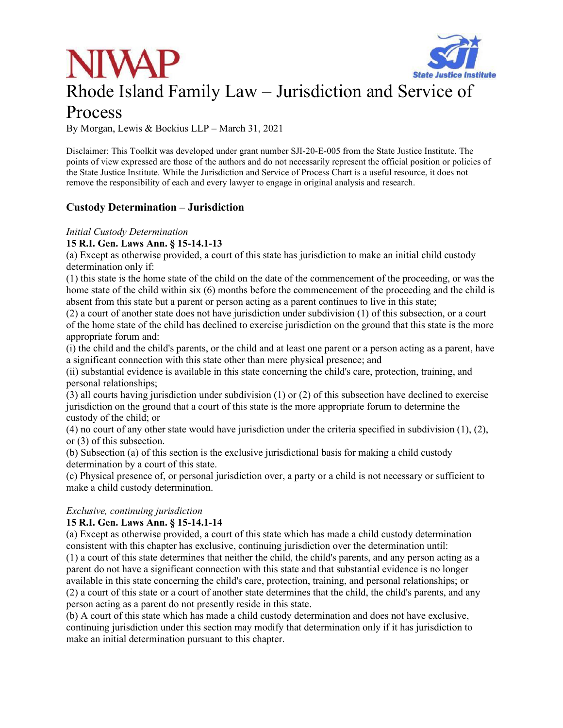# **State Justice Institute** Rhode Island Family Law – Jurisdiction and Service of

# Process

By Morgan, Lewis & Bockius LLP – March 31, 2021

Disclaimer: This Toolkit was developed under grant number SJI-20-E-005 from the State Justice Institute. The points of view expressed are those of the authors and do not necessarily represent the official position or policies of the State Justice Institute. While the Jurisdiction and Service of Process Chart is a useful resource, it does not remove the responsibility of each and every lawyer to engage in original analysis and research.

# **Custody Determination – Jurisdiction**

### *Initial Custody Determination*

### **15 R.I. Gen. Laws Ann. § 15-14.1-13**

(a) Except as otherwise provided, a court of this state has jurisdiction to make an initial child custody determination only if:

(1) this state is the home state of the child on the date of the commencement of the proceeding, or was the home state of the child within six (6) months before the commencement of the proceeding and the child is absent from this state but a parent or person acting as a parent continues to live in this state;

(2) a court of another state does not have jurisdiction under subdivision (1) of this subsection, or a court of the home state of the child has declined to exercise jurisdiction on the ground that this state is the more appropriate forum and:

(i) the child and the child's parents, or the child and at least one parent or a person acting as a parent, have a significant connection with this state other than mere physical presence; and

(ii) substantial evidence is available in this state concerning the child's care, protection, training, and personal relationships;

(3) all courts having jurisdiction under subdivision (1) or (2) of this subsection have declined to exercise jurisdiction on the ground that a court of this state is the more appropriate forum to determine the custody of the child; or

(4) no court of any other state would have jurisdiction under the criteria specified in subdivision (1), (2), or (3) of this subsection.

(b) Subsection (a) of this section is the exclusive jurisdictional basis for making a child custody determination by a court of this state.

(c) Physical presence of, or personal jurisdiction over, a party or a child is not necessary or sufficient to make a child custody determination.

### *Exclusive, continuing jurisdiction*

### **15 R.I. Gen. Laws Ann. § 15-14.1-14**

(a) Except as otherwise provided, a court of this state which has made a child custody determination consistent with this chapter has exclusive, continuing jurisdiction over the determination until: (1) a court of this state determines that neither the child, the child's parents, and any person acting as a parent do not have a significant connection with this state and that substantial evidence is no longer available in this state concerning the child's care, protection, training, and personal relationships; or (2) a court of this state or a court of another state determines that the child, the child's parents, and any person acting as a parent do not presently reside in this state.

(b) A court of this state which has made a child custody determination and does not have exclusive, continuing jurisdiction under this section may modify that determination only if it has jurisdiction to make an initial determination pursuant to this chapter.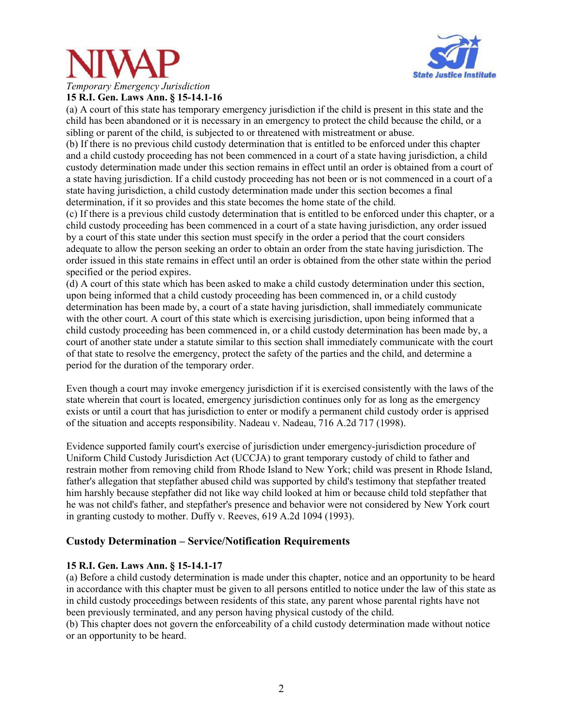



*Temporary Emergency Jurisdiction*  **15 R.I. Gen. Laws Ann. § 15-14.1-16** 

(a) A court of this state has temporary emergency jurisdiction if the child is present in this state and the child has been abandoned or it is necessary in an emergency to protect the child because the child, or a sibling or parent of the child, is subjected to or threatened with mistreatment or abuse.

(b) If there is no previous child custody determination that is entitled to be enforced under this chapter and a child custody proceeding has not been commenced in a court of a state having jurisdiction, a child custody determination made under this section remains in effect until an order is obtained from a court of a state having jurisdiction. If a child custody proceeding has not been or is not commenced in a court of a state having jurisdiction, a child custody determination made under this section becomes a final determination, if it so provides and this state becomes the home state of the child.

(c) If there is a previous child custody determination that is entitled to be enforced under this chapter, or a child custody proceeding has been commenced in a court of a state having jurisdiction, any order issued by a court of this state under this section must specify in the order a period that the court considers adequate to allow the person seeking an order to obtain an order from the state having jurisdiction. The order issued in this state remains in effect until an order is obtained from the other state within the period specified or the period expires.

(d) A court of this state which has been asked to make a child custody determination under this section, upon being informed that a child custody proceeding has been commenced in, or a child custody determination has been made by, a court of a state having jurisdiction, shall immediately communicate with the other court. A court of this state which is exercising jurisdiction, upon being informed that a child custody proceeding has been commenced in, or a child custody determination has been made by, a court of another state under a statute similar to this section shall immediately communicate with the court of that state to resolve the emergency, protect the safety of the parties and the child, and determine a period for the duration of the temporary order.

Even though a court may invoke emergency jurisdiction if it is exercised consistently with the laws of the state wherein that court is located, emergency jurisdiction continues only for as long as the emergency exists or until a court that has jurisdiction to enter or modify a permanent child custody order is apprised of the situation and accepts responsibility. Nadeau v. Nadeau, 716 A.2d 717 (1998).

Evidence supported family court's exercise of jurisdiction under emergency-jurisdiction procedure of Uniform Child Custody Jurisdiction Act (UCCJA) to grant temporary custody of child to father and restrain mother from removing child from Rhode Island to New York; child was present in Rhode Island, father's allegation that stepfather abused child was supported by child's testimony that stepfather treated him harshly because stepfather did not like way child looked at him or because child told stepfather that he was not child's father, and stepfather's presence and behavior were not considered by New York court in granting custody to mother. Duffy v. Reeves, 619 A.2d 1094 (1993).

# **Custody Determination – Service/Notification Requirements**

### **15 R.I. Gen. Laws Ann. § 15-14.1-17**

(a) Before a child custody determination is made under this chapter, notice and an opportunity to be heard in accordance with this chapter must be given to all persons entitled to notice under the law of this state as in child custody proceedings between residents of this state, any parent whose parental rights have not been previously terminated, and any person having physical custody of the child.

(b) This chapter does not govern the enforceability of a child custody determination made without notice or an opportunity to be heard.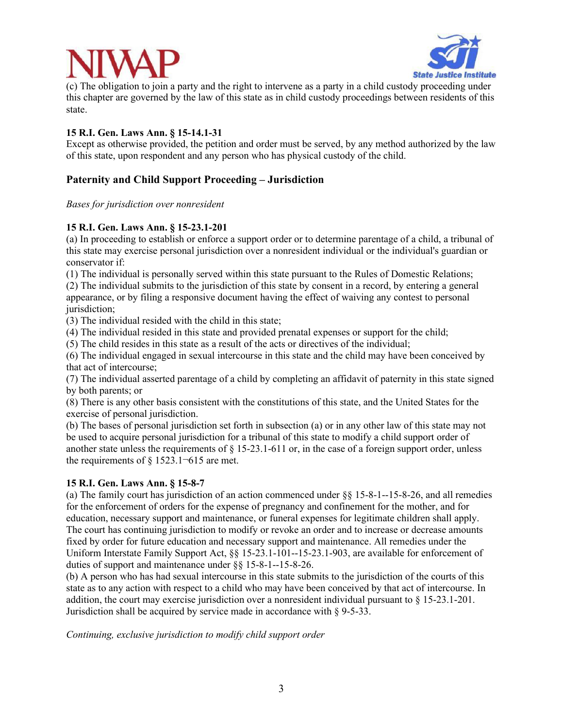



(c) The obligation to join a party and the right to intervene as a party in a child custody proceeding under this chapter are governed by the law of this state as in child custody proceedings between residents of this state.

# **15 R.I. Gen. Laws Ann. § 15-14.1-31**

Except as otherwise provided, the petition and order must be served, by any method authorized by the law of this state, upon respondent and any person who has physical custody of the child.

# **Paternity and Child Support Proceeding – Jurisdiction**

*Bases for jurisdiction over nonresident* 

#### **15 R.I. Gen. Laws Ann. § 15-23.1-201**

(a) In proceeding to establish or enforce a support order or to determine parentage of a child, a tribunal of this state may exercise personal jurisdiction over a nonresident individual or the individual's guardian or conservator if:

(1) The individual is personally served within this state pursuant to the Rules of Domestic Relations; (2) The individual submits to the jurisdiction of this state by consent in a record, by entering a general appearance, or by filing a responsive document having the effect of waiving any contest to personal jurisdiction;

(3) The individual resided with the child in this state;

(4) The individual resided in this state and provided prenatal expenses or support for the child;

(5) The child resides in this state as a result of the acts or directives of the individual;

(6) The individual engaged in sexual intercourse in this state and the child may have been conceived by that act of intercourse;

(7) The individual asserted parentage of a child by completing an affidavit of paternity in this state signed by both parents; or

(8) There is any other basis consistent with the constitutions of this state, and the United States for the exercise of personal jurisdiction.

(b) The bases of personal jurisdiction set forth in subsection (a) or in any other law of this state may not be used to acquire personal jurisdiction for a tribunal of this state to modify a child support order of another state unless the requirements of  $\S 15-23.1-611$  or, in the case of a foreign support order, unless the requirements of  $\S$  1523.1 -615 are met.

### **15 R.I. Gen. Laws Ann. § 15-8-7**

(a) The family court has jurisdiction of an action commenced under §§ 15-8-1--15-8-26, and all remedies for the enforcement of orders for the expense of pregnancy and confinement for the mother, and for education, necessary support and maintenance, or funeral expenses for legitimate children shall apply. The court has continuing jurisdiction to modify or revoke an order and to increase or decrease amounts fixed by order for future education and necessary support and maintenance. All remedies under the Uniform Interstate Family Support Act,  $\S_6$  15-23.1-101--15-23.1-903, are available for enforcement of duties of support and maintenance under §§ 15-8-1--15-8-26.

(b) A person who has had sexual intercourse in this state submits to the jurisdiction of the courts of this state as to any action with respect to a child who may have been conceived by that act of intercourse. In addition, the court may exercise jurisdiction over a nonresident individual pursuant to § 15-23.1-201. Jurisdiction shall be acquired by service made in accordance with § 9-5-33.

*Continuing, exclusive jurisdiction to modify child support order*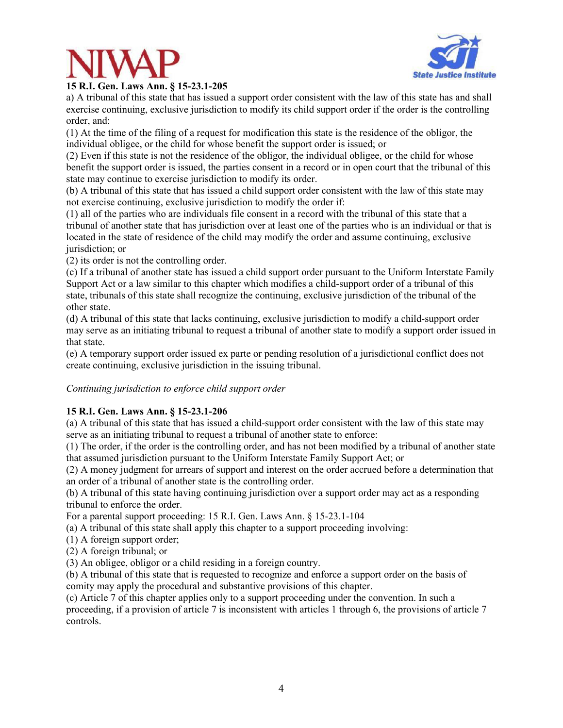



#### **15 R.I. Gen. Laws Ann. § 15-23.1-205**

a) A tribunal of this state that has issued a support order consistent with the law of this state has and shall exercise continuing, exclusive jurisdiction to modify its child support order if the order is the controlling order, and:

(1) At the time of the filing of a request for modification this state is the residence of the obligor, the individual obligee, or the child for whose benefit the support order is issued; or

(2) Even if this state is not the residence of the obligor, the individual obligee, or the child for whose benefit the support order is issued, the parties consent in a record or in open court that the tribunal of this state may continue to exercise jurisdiction to modify its order.

(b) A tribunal of this state that has issued a child support order consistent with the law of this state may not exercise continuing, exclusive jurisdiction to modify the order if:

(1) all of the parties who are individuals file consent in a record with the tribunal of this state that a tribunal of another state that has jurisdiction over at least one of the parties who is an individual or that is located in the state of residence of the child may modify the order and assume continuing, exclusive jurisdiction; or

(2) its order is not the controlling order.

(c) If a tribunal of another state has issued a child support order pursuant to the Uniform Interstate Family Support Act or a law similar to this chapter which modifies a child-support order of a tribunal of this state, tribunals of this state shall recognize the continuing, exclusive jurisdiction of the tribunal of the other state.

(d) A tribunal of this state that lacks continuing, exclusive jurisdiction to modify a child-support order may serve as an initiating tribunal to request a tribunal of another state to modify a support order issued in that state.

(e) A temporary support order issued ex parte or pending resolution of a jurisdictional conflict does not create continuing, exclusive jurisdiction in the issuing tribunal.

*Continuing jurisdiction to enforce child support order* 

#### **15 R.I. Gen. Laws Ann. § 15-23.1-206**

(a) A tribunal of this state that has issued a child-support order consistent with the law of this state may serve as an initiating tribunal to request a tribunal of another state to enforce:

(1) The order, if the order is the controlling order, and has not been modified by a tribunal of another state that assumed jurisdiction pursuant to the Uniform Interstate Family Support Act; or

(2) A money judgment for arrears of support and interest on the order accrued before a determination that an order of a tribunal of another state is the controlling order.

(b) A tribunal of this state having continuing jurisdiction over a support order may act as a responding tribunal to enforce the order.

For a parental support proceeding: 15 R.I. Gen. Laws Ann. § 15-23.1-104

(a) A tribunal of this state shall apply this chapter to a support proceeding involving:

(1) A foreign support order;

(2) A foreign tribunal; or

(3) An obligee, obligor or a child residing in a foreign country.

(b) A tribunal of this state that is requested to recognize and enforce a support order on the basis of comity may apply the procedural and substantive provisions of this chapter.

(c) Article 7 of this chapter applies only to a support proceeding under the convention. In such a proceeding, if a provision of article 7 is inconsistent with articles 1 through 6, the provisions of article 7 controls.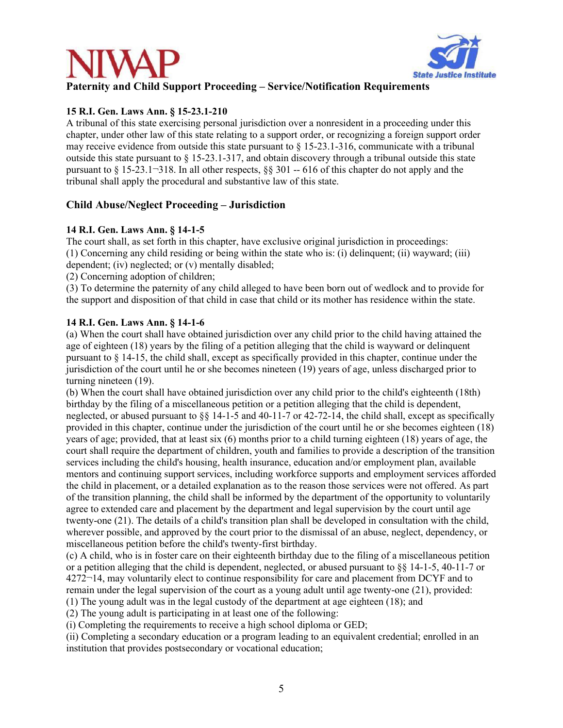



#### **Paternity and Child Support Proceeding – Service/Notification Requirements**

### **15 R.I. Gen. Laws Ann. § 15-23.1-210**

A tribunal of this state exercising personal jurisdiction over a nonresident in a proceeding under this chapter, under other law of this state relating to a support order, or recognizing a foreign support order may receive evidence from outside this state pursuant to § 15-23.1-316, communicate with a tribunal outside this state pursuant to  $\S 15-23.1-317$ , and obtain discovery through a tribunal outside this state pursuant to  $\S 15$ -23.1 $\neg$ 318. In all other respects,  $\S \ \ \frac{15}{10}$  -616 of this chapter do not apply and the tribunal shall apply the procedural and substantive law of this state.

# **Child Abuse/Neglect Proceeding – Jurisdiction**

#### **14 R.I. Gen. Laws Ann. § 14-1-5**

The court shall, as set forth in this chapter, have exclusive original jurisdiction in proceedings: (1) Concerning any child residing or being within the state who is: (i) delinquent; (ii) wayward; (iii) dependent; (iv) neglected; or (v) mentally disabled;

(2) Concerning adoption of children;

(3) To determine the paternity of any child alleged to have been born out of wedlock and to provide for the support and disposition of that child in case that child or its mother has residence within the state.

#### **14 R.I. Gen. Laws Ann. § 14-1-6**

(a) When the court shall have obtained jurisdiction over any child prior to the child having attained the age of eighteen (18) years by the filing of a petition alleging that the child is wayward or delinquent pursuant to § 14-15, the child shall, except as specifically provided in this chapter, continue under the jurisdiction of the court until he or she becomes nineteen (19) years of age, unless discharged prior to turning nineteen (19).

(b) When the court shall have obtained jurisdiction over any child prior to the child's eighteenth (18th) birthday by the filing of a miscellaneous petition or a petition alleging that the child is dependent, neglected, or abused pursuant to  $\S$  14-1-5 and 40-11-7 or 42-72-14, the child shall, except as specifically provided in this chapter, continue under the jurisdiction of the court until he or she becomes eighteen (18) years of age; provided, that at least six (6) months prior to a child turning eighteen (18) years of age, the court shall require the department of children, youth and families to provide a description of the transition services including the child's housing, health insurance, education and/or employment plan, available mentors and continuing support services, including workforce supports and employment services afforded the child in placement, or a detailed explanation as to the reason those services were not offered. As part of the transition planning, the child shall be informed by the department of the opportunity to voluntarily agree to extended care and placement by the department and legal supervision by the court until age twenty-one (21). The details of a child's transition plan shall be developed in consultation with the child, wherever possible, and approved by the court prior to the dismissal of an abuse, neglect, dependency, or miscellaneous petition before the child's twenty-first birthday.

(c) A child, who is in foster care on their eighteenth birthday due to the filing of a miscellaneous petition or a petition alleging that the child is dependent, neglected, or abused pursuant to §§ 14-1-5, 40-11-7 or 4272¬14, may voluntarily elect to continue responsibility for care and placement from DCYF and to remain under the legal supervision of the court as a young adult until age twenty-one (21), provided: (1) The young adult was in the legal custody of the department at age eighteen (18); and

(2) The young adult is participating in at least one of the following:

(i) Completing the requirements to receive a high school diploma or GED;

(ii) Completing a secondary education or a program leading to an equivalent credential; enrolled in an institution that provides postsecondary or vocational education;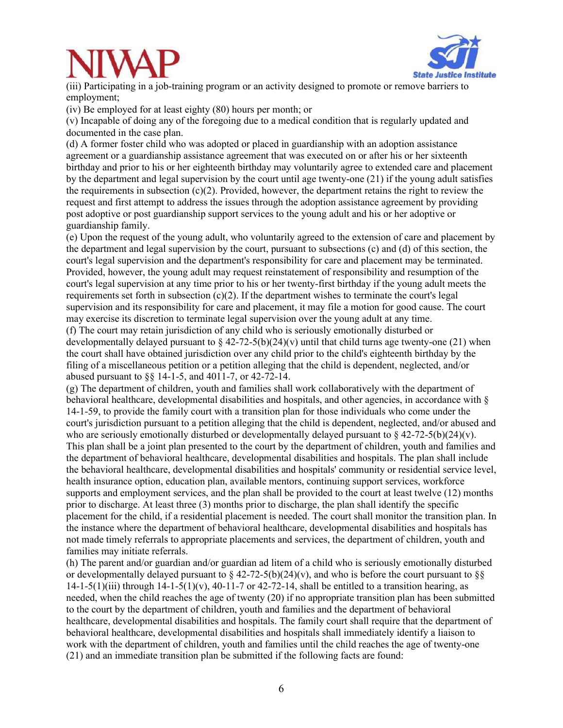



(iii) Participating in a job-training program or an activity designed to promote or remove barriers to employment;

(iv) Be employed for at least eighty (80) hours per month; or

(v) Incapable of doing any of the foregoing due to a medical condition that is regularly updated and documented in the case plan.

(d) A former foster child who was adopted or placed in guardianship with an adoption assistance agreement or a guardianship assistance agreement that was executed on or after his or her sixteenth birthday and prior to his or her eighteenth birthday may voluntarily agree to extended care and placement by the department and legal supervision by the court until age twenty-one (21) if the young adult satisfies the requirements in subsection  $(c)(2)$ . Provided, however, the department retains the right to review the request and first attempt to address the issues through the adoption assistance agreement by providing post adoptive or post guardianship support services to the young adult and his or her adoptive or guardianship family.

(e) Upon the request of the young adult, who voluntarily agreed to the extension of care and placement by the department and legal supervision by the court, pursuant to subsections (c) and (d) of this section, the court's legal supervision and the department's responsibility for care and placement may be terminated. Provided, however, the young adult may request reinstatement of responsibility and resumption of the court's legal supervision at any time prior to his or her twenty-first birthday if the young adult meets the requirements set forth in subsection  $(c)(2)$ . If the department wishes to terminate the court's legal supervision and its responsibility for care and placement, it may file a motion for good cause. The court may exercise its discretion to terminate legal supervision over the young adult at any time. (f) The court may retain jurisdiction of any child who is seriously emotionally disturbed or developmentally delayed pursuant to  $\frac{242-72-5(b)(24)(v)}{24}$  until that child turns age twenty-one (21) when the court shall have obtained jurisdiction over any child prior to the child's eighteenth birthday by the filing of a miscellaneous petition or a petition alleging that the child is dependent, neglected, and/or abused pursuant to §§ 14-1-5, and 4011-7, or 42-72-14.

(g) The department of children, youth and families shall work collaboratively with the department of behavioral healthcare, developmental disabilities and hospitals, and other agencies, in accordance with § 14-1-59, to provide the family court with a transition plan for those individuals who come under the court's jurisdiction pursuant to a petition alleging that the child is dependent, neglected, and/or abused and who are seriously emotionally disturbed or developmentally delayed pursuant to  $\S$  42-72-5(b)(24)(v). This plan shall be a joint plan presented to the court by the department of children, youth and families and the department of behavioral healthcare, developmental disabilities and hospitals. The plan shall include the behavioral healthcare, developmental disabilities and hospitals' community or residential service level, health insurance option, education plan, available mentors, continuing support services, workforce supports and employment services, and the plan shall be provided to the court at least twelve (12) months prior to discharge. At least three (3) months prior to discharge, the plan shall identify the specific placement for the child, if a residential placement is needed. The court shall monitor the transition plan. In the instance where the department of behavioral healthcare, developmental disabilities and hospitals has not made timely referrals to appropriate placements and services, the department of children, youth and families may initiate referrals.

(h) The parent and/or guardian and/or guardian ad litem of a child who is seriously emotionally disturbed or developmentally delayed pursuant to  $\S 42-72-5(b)(24)(v)$ , and who is before the court pursuant to  $\S$  $14-1-5(1)$ (iii) through  $14-1-5(1)$ (v),  $40-11-7$  or  $42-72-14$ , shall be entitled to a transition hearing, as needed, when the child reaches the age of twenty (20) if no appropriate transition plan has been submitted to the court by the department of children, youth and families and the department of behavioral healthcare, developmental disabilities and hospitals. The family court shall require that the department of behavioral healthcare, developmental disabilities and hospitals shall immediately identify a liaison to work with the department of children, youth and families until the child reaches the age of twenty-one (21) and an immediate transition plan be submitted if the following facts are found: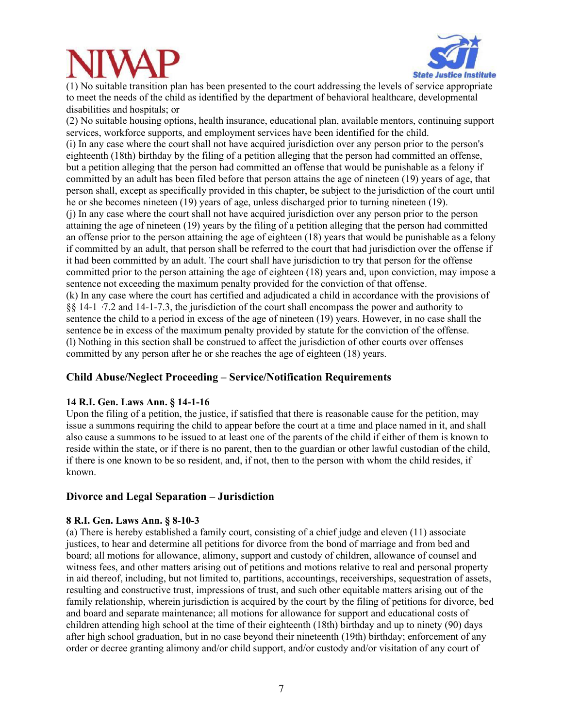



(1) No suitable transition plan has been presented to the court addressing the levels of service appropriate to meet the needs of the child as identified by the department of behavioral healthcare, developmental disabilities and hospitals; or

(2) No suitable housing options, health insurance, educational plan, available mentors, continuing support services, workforce supports, and employment services have been identified for the child. (i) In any case where the court shall not have acquired jurisdiction over any person prior to the person's eighteenth (18th) birthday by the filing of a petition alleging that the person had committed an offense, but a petition alleging that the person had committed an offense that would be punishable as a felony if committed by an adult has been filed before that person attains the age of nineteen (19) years of age, that person shall, except as specifically provided in this chapter, be subject to the jurisdiction of the court until he or she becomes nineteen (19) years of age, unless discharged prior to turning nineteen (19). (j) In any case where the court shall not have acquired jurisdiction over any person prior to the person attaining the age of nineteen (19) years by the filing of a petition alleging that the person had committed an offense prior to the person attaining the age of eighteen (18) years that would be punishable as a felony if committed by an adult, that person shall be referred to the court that had jurisdiction over the offense if it had been committed by an adult. The court shall have jurisdiction to try that person for the offense committed prior to the person attaining the age of eighteen (18) years and, upon conviction, may impose a sentence not exceeding the maximum penalty provided for the conviction of that offense. (k) In any case where the court has certified and adjudicated a child in accordance with the provisions of §§ 14-1¬7.2 and 14-1-7.3, the jurisdiction of the court shall encompass the power and authority to sentence the child to a period in excess of the age of nineteen (19) years. However, in no case shall the sentence be in excess of the maximum penalty provided by statute for the conviction of the offense. (l) Nothing in this section shall be construed to affect the jurisdiction of other courts over offenses committed by any person after he or she reaches the age of eighteen (18) years.

### **Child Abuse/Neglect Proceeding – Service/Notification Requirements**

### **14 R.I. Gen. Laws Ann. § 14-1-16**

Upon the filing of a petition, the justice, if satisfied that there is reasonable cause for the petition, may issue a summons requiring the child to appear before the court at a time and place named in it, and shall also cause a summons to be issued to at least one of the parents of the child if either of them is known to reside within the state, or if there is no parent, then to the guardian or other lawful custodian of the child, if there is one known to be so resident, and, if not, then to the person with whom the child resides, if known.

### **Divorce and Legal Separation – Jurisdiction**

#### **8 R.I. Gen. Laws Ann. § 8-10-3**

(a) There is hereby established a family court, consisting of a chief judge and eleven (11) associate justices, to hear and determine all petitions for divorce from the bond of marriage and from bed and board; all motions for allowance, alimony, support and custody of children, allowance of counsel and witness fees, and other matters arising out of petitions and motions relative to real and personal property in aid thereof, including, but not limited to, partitions, accountings, receiverships, sequestration of assets, resulting and constructive trust, impressions of trust, and such other equitable matters arising out of the family relationship, wherein jurisdiction is acquired by the court by the filing of petitions for divorce, bed and board and separate maintenance; all motions for allowance for support and educational costs of children attending high school at the time of their eighteenth (18th) birthday and up to ninety (90) days after high school graduation, but in no case beyond their nineteenth (19th) birthday; enforcement of any order or decree granting alimony and/or child support, and/or custody and/or visitation of any court of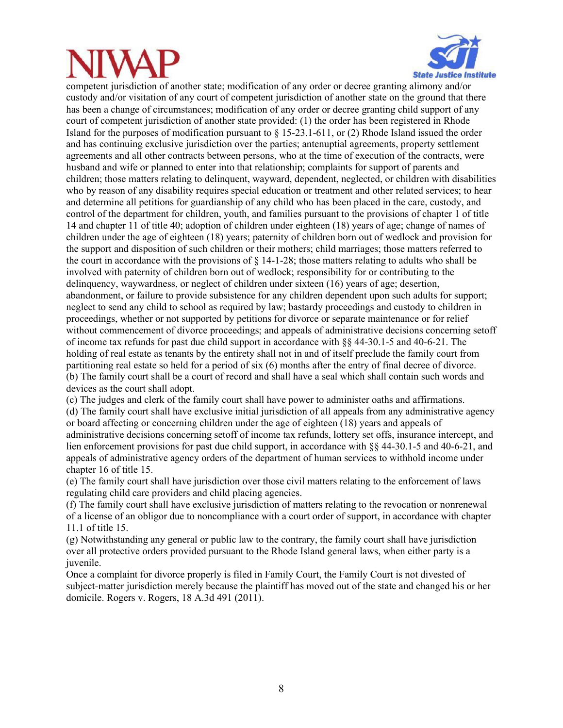



competent jurisdiction of another state; modification of any order or decree granting alimony and/or custody and/or visitation of any court of competent jurisdiction of another state on the ground that there has been a change of circumstances; modification of any order or decree granting child support of any court of competent jurisdiction of another state provided: (1) the order has been registered in Rhode Island for the purposes of modification pursuant to  $\S 15-23.1-611$ , or (2) Rhode Island issued the order and has continuing exclusive jurisdiction over the parties; antenuptial agreements, property settlement agreements and all other contracts between persons, who at the time of execution of the contracts, were husband and wife or planned to enter into that relationship; complaints for support of parents and children; those matters relating to delinquent, wayward, dependent, neglected, or children with disabilities who by reason of any disability requires special education or treatment and other related services; to hear and determine all petitions for guardianship of any child who has been placed in the care, custody, and control of the department for children, youth, and families pursuant to the provisions of chapter 1 of title 14 and chapter 11 of title 40; adoption of children under eighteen (18) years of age; change of names of children under the age of eighteen (18) years; paternity of children born out of wedlock and provision for the support and disposition of such children or their mothers; child marriages; those matters referred to the court in accordance with the provisions of  $\S$  14-1-28; those matters relating to adults who shall be involved with paternity of children born out of wedlock; responsibility for or contributing to the delinquency, waywardness, or neglect of children under sixteen (16) years of age; desertion, abandonment, or failure to provide subsistence for any children dependent upon such adults for support; neglect to send any child to school as required by law; bastardy proceedings and custody to children in proceedings, whether or not supported by petitions for divorce or separate maintenance or for relief without commencement of divorce proceedings; and appeals of administrative decisions concerning setoff of income tax refunds for past due child support in accordance with §§ 44-30.1-5 and 40-6-21. The holding of real estate as tenants by the entirety shall not in and of itself preclude the family court from partitioning real estate so held for a period of six (6) months after the entry of final decree of divorce. (b) The family court shall be a court of record and shall have a seal which shall contain such words and devices as the court shall adopt.

(c) The judges and clerk of the family court shall have power to administer oaths and affirmations. (d) The family court shall have exclusive initial jurisdiction of all appeals from any administrative agency or board affecting or concerning children under the age of eighteen (18) years and appeals of administrative decisions concerning setoff of income tax refunds, lottery set offs, insurance intercept, and lien enforcement provisions for past due child support, in accordance with §§ 44-30.1-5 and 40-6-21, and appeals of administrative agency orders of the department of human services to withhold income under chapter 16 of title 15.

(e) The family court shall have jurisdiction over those civil matters relating to the enforcement of laws regulating child care providers and child placing agencies.

(f) The family court shall have exclusive jurisdiction of matters relating to the revocation or nonrenewal of a license of an obligor due to noncompliance with a court order of support, in accordance with chapter 11.1 of title 15.

(g) Notwithstanding any general or public law to the contrary, the family court shall have jurisdiction over all protective orders provided pursuant to the Rhode Island general laws, when either party is a juvenile.

Once a complaint for divorce properly is filed in Family Court, the Family Court is not divested of subject-matter jurisdiction merely because the plaintiff has moved out of the state and changed his or her domicile. Rogers v. Rogers, 18 A.3d 491 (2011).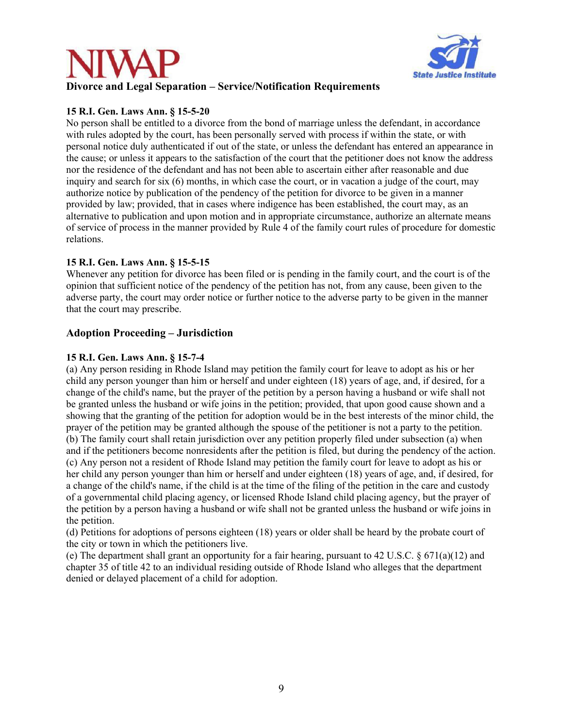



### **Divorce and Legal Separation – Service/Notification Requirements**

# **15 R.I. Gen. Laws Ann. § 15-5-20**

No person shall be entitled to a divorce from the bond of marriage unless the defendant, in accordance with rules adopted by the court, has been personally served with process if within the state, or with personal notice duly authenticated if out of the state, or unless the defendant has entered an appearance in the cause; or unless it appears to the satisfaction of the court that the petitioner does not know the address nor the residence of the defendant and has not been able to ascertain either after reasonable and due inquiry and search for six (6) months, in which case the court, or in vacation a judge of the court, may authorize notice by publication of the pendency of the petition for divorce to be given in a manner provided by law; provided, that in cases where indigence has been established, the court may, as an alternative to publication and upon motion and in appropriate circumstance, authorize an alternate means of service of process in the manner provided by Rule 4 of the family court rules of procedure for domestic relations.

### **15 R.I. Gen. Laws Ann. § 15-5-15**

Whenever any petition for divorce has been filed or is pending in the family court, and the court is of the opinion that sufficient notice of the pendency of the petition has not, from any cause, been given to the adverse party, the court may order notice or further notice to the adverse party to be given in the manner that the court may prescribe.

### **Adoption Proceeding – Jurisdiction**

#### **15 R.I. Gen. Laws Ann. § 15-7-4**

(a) Any person residing in Rhode Island may petition the family court for leave to adopt as his or her child any person younger than him or herself and under eighteen (18) years of age, and, if desired, for a change of the child's name, but the prayer of the petition by a person having a husband or wife shall not be granted unless the husband or wife joins in the petition; provided, that upon good cause shown and a showing that the granting of the petition for adoption would be in the best interests of the minor child, the prayer of the petition may be granted although the spouse of the petitioner is not a party to the petition. (b) The family court shall retain jurisdiction over any petition properly filed under subsection (a) when and if the petitioners become nonresidents after the petition is filed, but during the pendency of the action. (c) Any person not a resident of Rhode Island may petition the family court for leave to adopt as his or her child any person younger than him or herself and under eighteen (18) years of age, and, if desired, for a change of the child's name, if the child is at the time of the filing of the petition in the care and custody of a governmental child placing agency, or licensed Rhode Island child placing agency, but the prayer of the petition by a person having a husband or wife shall not be granted unless the husband or wife joins in the petition.

(d) Petitions for adoptions of persons eighteen (18) years or older shall be heard by the probate court of the city or town in which the petitioners live.

(e) The department shall grant an opportunity for a fair hearing, pursuant to 42 U.S.C.  $\frac{671(a)(12)}{2}$  and chapter 35 of title 42 to an individual residing outside of Rhode Island who alleges that the department denied or delayed placement of a child for adoption.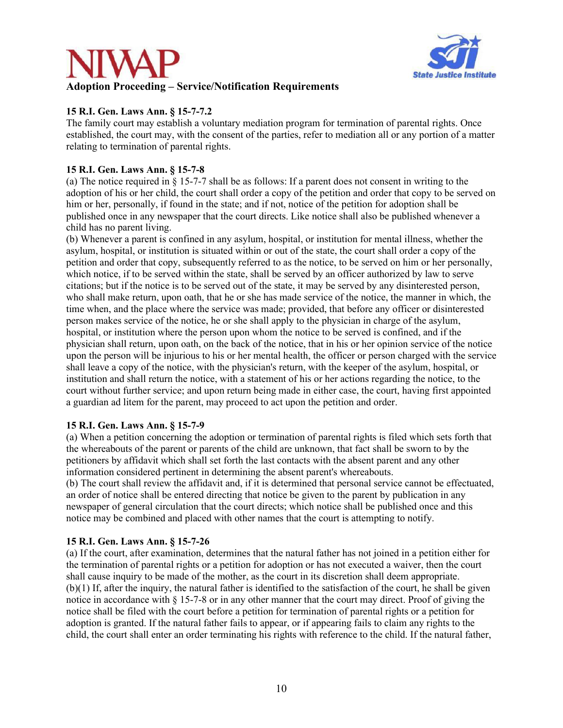



# **15 R.I. Gen. Laws Ann. § 15-7-7.2**

The family court may establish a voluntary mediation program for termination of parental rights. Once established, the court may, with the consent of the parties, refer to mediation all or any portion of a matter relating to termination of parental rights.

# **15 R.I. Gen. Laws Ann. § 15-7-8**

(a) The notice required in § 15-7-7 shall be as follows: If a parent does not consent in writing to the adoption of his or her child, the court shall order a copy of the petition and order that copy to be served on him or her, personally, if found in the state; and if not, notice of the petition for adoption shall be published once in any newspaper that the court directs. Like notice shall also be published whenever a child has no parent living.

(b) Whenever a parent is confined in any asylum, hospital, or institution for mental illness, whether the asylum, hospital, or institution is situated within or out of the state, the court shall order a copy of the petition and order that copy, subsequently referred to as the notice, to be served on him or her personally, which notice, if to be served within the state, shall be served by an officer authorized by law to serve citations; but if the notice is to be served out of the state, it may be served by any disinterested person, who shall make return, upon oath, that he or she has made service of the notice, the manner in which, the time when, and the place where the service was made; provided, that before any officer or disinterested person makes service of the notice, he or she shall apply to the physician in charge of the asylum, hospital, or institution where the person upon whom the notice to be served is confined, and if the physician shall return, upon oath, on the back of the notice, that in his or her opinion service of the notice upon the person will be injurious to his or her mental health, the officer or person charged with the service shall leave a copy of the notice, with the physician's return, with the keeper of the asylum, hospital, or institution and shall return the notice, with a statement of his or her actions regarding the notice, to the court without further service; and upon return being made in either case, the court, having first appointed a guardian ad litem for the parent, may proceed to act upon the petition and order.

### **15 R.I. Gen. Laws Ann. § 15-7-9**

(a) When a petition concerning the adoption or termination of parental rights is filed which sets forth that the whereabouts of the parent or parents of the child are unknown, that fact shall be sworn to by the petitioners by affidavit which shall set forth the last contacts with the absent parent and any other information considered pertinent in determining the absent parent's whereabouts.

(b) The court shall review the affidavit and, if it is determined that personal service cannot be effectuated, an order of notice shall be entered directing that notice be given to the parent by publication in any newspaper of general circulation that the court directs; which notice shall be published once and this notice may be combined and placed with other names that the court is attempting to notify.

### **15 R.I. Gen. Laws Ann. § 15-7-26**

(a) If the court, after examination, determines that the natural father has not joined in a petition either for the termination of parental rights or a petition for adoption or has not executed a waiver, then the court shall cause inquiry to be made of the mother, as the court in its discretion shall deem appropriate. (b)(1) If, after the inquiry, the natural father is identified to the satisfaction of the court, he shall be given notice in accordance with § 15-7-8 or in any other manner that the court may direct. Proof of giving the notice shall be filed with the court before a petition for termination of parental rights or a petition for adoption is granted. If the natural father fails to appear, or if appearing fails to claim any rights to the child, the court shall enter an order terminating his rights with reference to the child. If the natural father,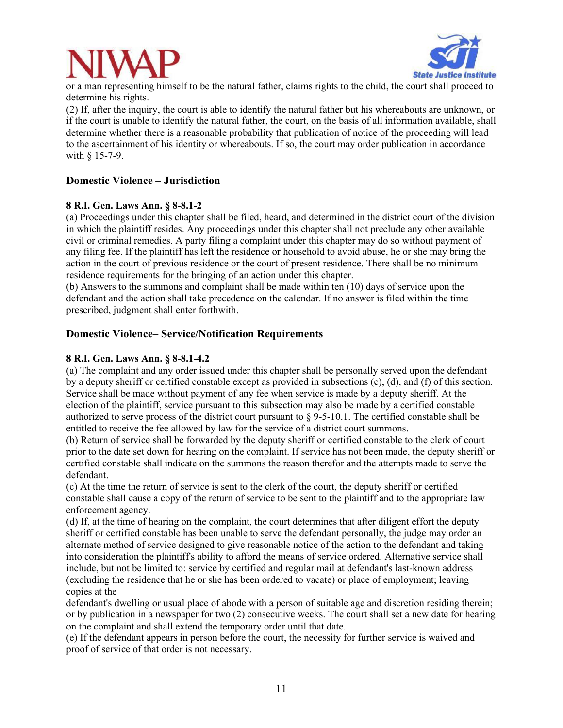



or a man representing himself to be the natural father, claims rights to the child, the court shall proceed to determine his rights.

(2) If, after the inquiry, the court is able to identify the natural father but his whereabouts are unknown, or if the court is unable to identify the natural father, the court, on the basis of all information available, shall determine whether there is a reasonable probability that publication of notice of the proceeding will lead to the ascertainment of his identity or whereabouts. If so, the court may order publication in accordance with § 15-7-9.

### **Domestic Violence – Jurisdiction**

#### **8 R.I. Gen. Laws Ann. § 8-8.1-2**

(a) Proceedings under this chapter shall be filed, heard, and determined in the district court of the division in which the plaintiff resides. Any proceedings under this chapter shall not preclude any other available civil or criminal remedies. A party filing a complaint under this chapter may do so without payment of any filing fee. If the plaintiff has left the residence or household to avoid abuse, he or she may bring the action in the court of previous residence or the court of present residence. There shall be no minimum residence requirements for the bringing of an action under this chapter.

(b) Answers to the summons and complaint shall be made within ten (10) days of service upon the defendant and the action shall take precedence on the calendar. If no answer is filed within the time prescribed, judgment shall enter forthwith.

#### **Domestic Violence– Service/Notification Requirements**

#### **8 R.I. Gen. Laws Ann. § 8-8.1-4.2**

(a) The complaint and any order issued under this chapter shall be personally served upon the defendant by a deputy sheriff or certified constable except as provided in subsections (c), (d), and (f) of this section. Service shall be made without payment of any fee when service is made by a deputy sheriff. At the election of the plaintiff, service pursuant to this subsection may also be made by a certified constable authorized to serve process of the district court pursuant to § 9-5-10.1. The certified constable shall be entitled to receive the fee allowed by law for the service of a district court summons.

(b) Return of service shall be forwarded by the deputy sheriff or certified constable to the clerk of court prior to the date set down for hearing on the complaint. If service has not been made, the deputy sheriff or certified constable shall indicate on the summons the reason therefor and the attempts made to serve the defendant.

(c) At the time the return of service is sent to the clerk of the court, the deputy sheriff or certified constable shall cause a copy of the return of service to be sent to the plaintiff and to the appropriate law enforcement agency.

(d) If, at the time of hearing on the complaint, the court determines that after diligent effort the deputy sheriff or certified constable has been unable to serve the defendant personally, the judge may order an alternate method of service designed to give reasonable notice of the action to the defendant and taking into consideration the plaintiff's ability to afford the means of service ordered. Alternative service shall include, but not be limited to: service by certified and regular mail at defendant's last-known address (excluding the residence that he or she has been ordered to vacate) or place of employment; leaving copies at the

defendant's dwelling or usual place of abode with a person of suitable age and discretion residing therein; or by publication in a newspaper for two (2) consecutive weeks. The court shall set a new date for hearing on the complaint and shall extend the temporary order until that date.

(e) If the defendant appears in person before the court, the necessity for further service is waived and proof of service of that order is not necessary.